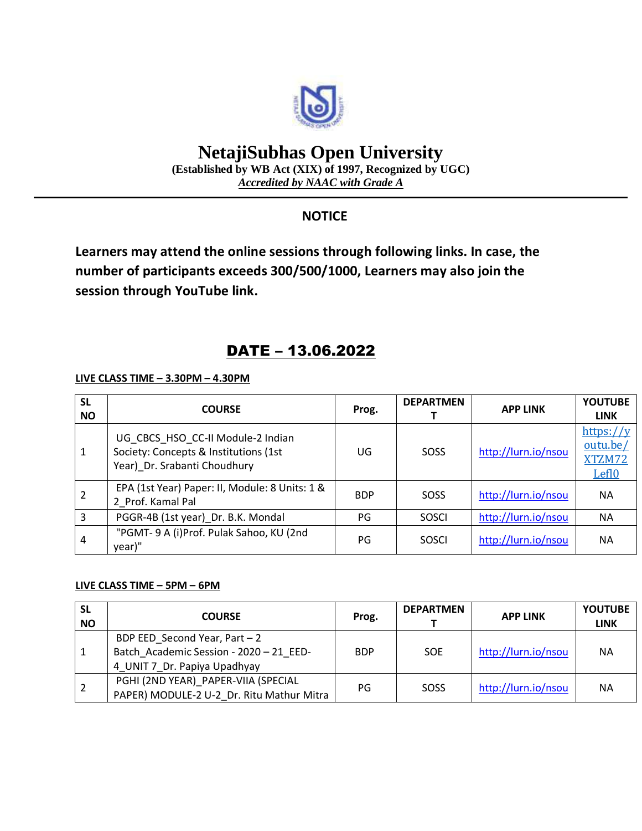

# **NetajiSubhas Open University**

**(Established by WB Act (XIX) of 1997, Recognized by UGC)** *Accredited by NAAC with Grade A*

### **NOTICE**

**Learners may attend the online sessions through following links. In case, the number of participants exceeds 300/500/1000, Learners may also join the session through YouTube link.**

## DATE – 13.06.2022

**LIVE CLASS TIME – 3.30PM – 4.30PM**

| <b>SL</b><br><b>NO</b> | <b>COURSE</b>                                                                                              | Prog.      | <b>DEPARTMEN</b> | <b>APP LINK</b>     | <b>YOUTUBE</b><br><b>LINK</b>                        |
|------------------------|------------------------------------------------------------------------------------------------------------|------------|------------------|---------------------|------------------------------------------------------|
| 1                      | UG_CBCS_HSO_CC-II Module-2 Indian<br>Society: Concepts & Institutions (1st<br>Year) Dr. Srabanti Choudhury | UG         | <b>SOSS</b>      | http://lurn.io/nsou | https://y<br>outu.be/<br>XTZM72<br>Lef <sub>10</sub> |
| $\overline{2}$         | EPA (1st Year) Paper: II, Module: 8 Units: 1 &<br>2 Prof. Kamal Pal                                        | <b>BDP</b> | SOSS             | http://lurn.io/nsou | <b>NA</b>                                            |
| 3                      | PGGR-4B (1st year)_Dr. B.K. Mondal                                                                         | PG         | <b>SOSCI</b>     | http://lurn.io/nsou | <b>NA</b>                                            |
| $\overline{4}$         | "PGMT- 9 A (i)Prof. Pulak Sahoo, KU (2nd<br>year)"                                                         | PG         | SOSCI            | http://lurn.io/nsou | <b>NA</b>                                            |

#### **LIVE CLASS TIME – 5PM – 6PM**

| <b>SL</b><br><b>NO</b> | <b>COURSE</b>                                                                                            | Prog.      | <b>DEPARTMEN</b> | <b>APP LINK</b>     | <b>YOUTUBE</b><br><b>LINK</b> |
|------------------------|----------------------------------------------------------------------------------------------------------|------------|------------------|---------------------|-------------------------------|
|                        | BDP EED Second Year, Part - 2<br>Batch Academic Session - 2020 - 21 EED-<br>4 UNIT 7 Dr. Papiya Upadhyay | <b>BDP</b> | <b>SOE</b>       | http://lurn.io/nsou | <b>NA</b>                     |
|                        | PGHI (2ND YEAR) PAPER-VIIA (SPECIAL<br>PAPER) MODULE-2 U-2 Dr. Ritu Mathur Mitra                         | PG         | SOSS             | http://lurn.io/nsou | <b>NA</b>                     |